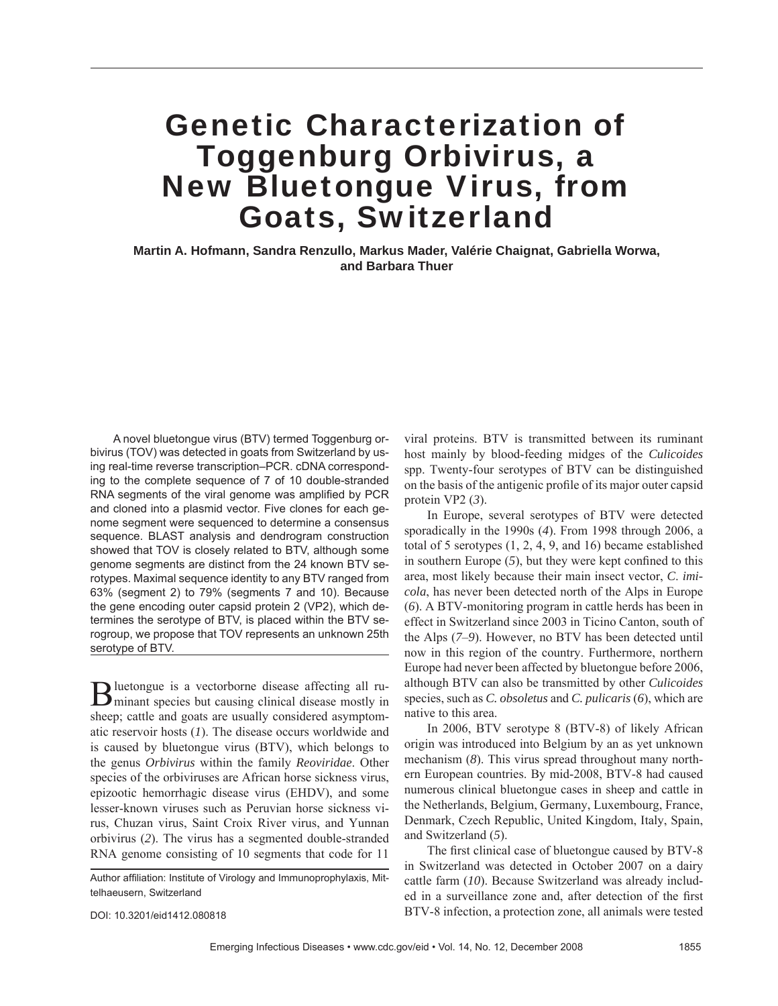# Genetic Characterization of Toggenburg Orbivirus, a New Bluetongue Virus, from Goats, Switzerland

**Martin A. Hofmann, Sandra Renzullo, Markus Mader, Valérie Chaignat, Gabriella Worwa, and Barbara Thuer**

A novel bluetongue virus (BTV) termed Toggenburg orbivirus (TOV) was detected in goats from Switzerland by using real-time reverse transcription–PCR. cDNA corresponding to the complete sequence of 7 of 10 double-stranded RNA segments of the viral genome was amplified by PCR and cloned into a plasmid vector. Five clones for each genome segment were sequenced to determine a consensus sequence. BLAST analysis and dendrogram construction showed that TOV is closely related to BTV, although some genome segments are distinct from the 24 known BTV serotypes. Maximal sequence identity to any BTV ranged from 63% (segment 2) to 79% (segments 7 and 10). Because the gene encoding outer capsid protein 2 (VP2), which determines the serotype of BTV, is placed within the BTV serogroup, we propose that TOV represents an unknown 25th serotype of BTV.

Bluetongue is a vectorborne disease affecting all ru-minant species but causing clinical disease mostly in sheep; cattle and goats are usually considered asymptomatic reservoir hosts (*1*). The disease occurs worldwide and is caused by bluetongue virus (BTV), which belongs to the genus *Orbivirus* within the family *Reoviridae*. Other species of the orbiviruses are African horse sickness virus, epizootic hemorrhagic disease virus (EHDV), and some lesser-known viruses such as Peruvian horse sickness virus, Chuzan virus, Saint Croix River virus, and Yunnan orbivirus (*2*). The virus has a segmented double-stranded RNA genome consisting of 10 segments that code for 11

DOI: 10.3201/eid1412.080818

viral proteins. BTV is transmitted between its ruminant host mainly by blood-feeding midges of the *Culicoides* spp. Twenty-four serotypes of BTV can be distinguished on the basis of the antigenic profile of its major outer capsid protein VP2 (*3*).

In Europe, several serotypes of BTV were detected sporadically in the 1990s (*4*). From 1998 through 2006, a total of 5 serotypes (1, 2, 4, 9, and 16) became established in southern Europe  $(5)$ , but they were kept confined to this area, most likely because their main insect vector, *C*. *imicola*, has never been detected north of the Alps in Europe (*6*). A BTV-monitoring program in cattle herds has been in effect in Switzerland since 2003 in Ticino Canton, south of the Alps (*7*–*9*). However, no BTV has been detected until now in this region of the country. Furthermore, northern Europe had never been affected by bluetongue before 2006, although BTV can also be transmitted by other *Culicoides* species, such as *C. obsoletus* and *C. pulicaris* (*6*), which are native to this area.

In 2006, BTV serotype 8 (BTV-8) of likely African origin was introduced into Belgium by an as yet unknown mechanism (*8*). This virus spread throughout many northern European countries. By mid-2008, BTV-8 had caused numerous clinical bluetongue cases in sheep and cattle in the Netherlands, Belgium, Germany, Luxembourg, France, Denmark, Czech Republic, United Kingdom, Italy, Spain, and Switzerland (*5*).

The first clinical case of bluetongue caused by BTV-8 in Switzerland was detected in October 2007 on a dairy cattle farm (*10*). Because Switzerland was already included in a surveillance zone and, after detection of the first BTV-8 infection, a protection zone, all animals were tested

Author affiliation: Institute of Virology and Immunoprophylaxis, Mittelhaeusern, Switzerland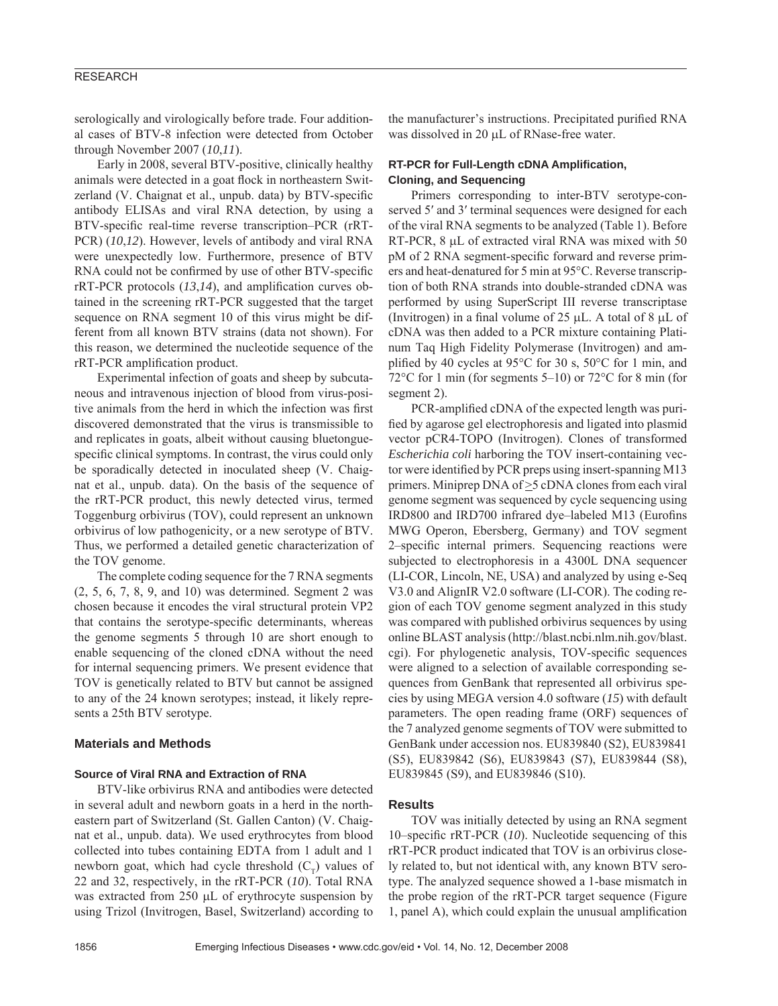# RESEARCH

serologically and virologically before trade. Four additional cases of BTV-8 infection were detected from October through November 2007 (*10*,*11*).

Early in 2008, several BTV-positive, clinically healthy animals were detected in a goat flock in northeastern Switzerland (V. Chaignat et al., unpub. data) by BTV-specific antibody ELISAs and viral RNA detection, by using a BTV-specific real-time reverse transcription–PCR (rRT-PCR) (*10*,*12*). However, levels of antibody and viral RNA were unexpectedly low. Furthermore, presence of BTV RNA could not be confirmed by use of other BTV-specific  $rRT-PCR$  protocols  $(13,14)$ , and amplification curves obtained in the screening rRT-PCR suggested that the target sequence on RNA segment 10 of this virus might be different from all known BTV strains (data not shown). For this reason, we determined the nucleotide sequence of the rRT-PCR amplification product.

Experimental infection of goats and sheep by subcutaneous and intravenous injection of blood from virus-positive animals from the herd in which the infection was first discovered demonstrated that the virus is transmissible to and replicates in goats, albeit without causing bluetonguespecific clinical symptoms. In contrast, the virus could only be sporadically detected in inoculated sheep (V. Chaignat et al., unpub. data). On the basis of the sequence of the rRT-PCR product, this newly detected virus, termed Toggenburg orbivirus (TOV), could represent an unknown orbivirus of low pathogenicity, or a new serotype of BTV. Thus, we performed a detailed genetic characterization of the TOV genome.

The complete coding sequence for the 7 RNA segments (2, 5, 6, 7, 8, 9, and 10) was determined. Segment 2 was chosen because it encodes the viral structural protein VP2 that contains the serotype-specific determinants, whereas the genome segments 5 through 10 are short enough to enable sequencing of the cloned cDNA without the need for internal sequencing primers. We present evidence that TOV is genetically related to BTV but cannot be assigned to any of the 24 known serotypes; instead, it likely represents a 25th BTV serotype.

## **Materials and Methods**

## **Source of Viral RNA and Extraction of RNA**

BTV-like orbivirus RNA and antibodies were detected in several adult and newborn goats in a herd in the northeastern part of Switzerland (St. Gallen Canton) (V. Chaignat et al., unpub. data). We used erythrocytes from blood collected into tubes containing EDTA from 1 adult and 1 newborn goat, which had cycle threshold  $(C_T)$  values of 22 and 32, respectively, in the rRT-PCR (*10*). Total RNA was extracted from 250 μL of erythrocyte suspension by using Trizol (Invitrogen, Basel, Switzerland) according to

the manufacturer's instructions. Precipitated purified RNA was dissolved in 20 μL of RNase-free water.

# **RT-PCR for Full-Length cDNA Amplification, Cloning, and Sequencing**

Primers corresponding to inter-BTV serotype-conserved 5' and 3' terminal sequences were designed for each of the viral RNA segments to be analyzed (Table 1). Before RT-PCR, 8 μL of extracted viral RNA was mixed with 50 pM of 2 RNA segment-specific forward and reverse primers and heat-denatured for 5 min at 95°C. Reverse transcription of both RNA strands into double-stranded cDNA was performed by using SuperScript III reverse transcriptase (Invitrogen) in a final volume of  $25 \mu L$ . A total of  $8 \mu L$  of cDNA was then added to a PCR mixture containing Platinum Taq High Fidelity Polymerase (Invitrogen) and amplified by 40 cycles at 95 $\degree$ C for 30 s, 50 $\degree$ C for 1 min, and 72°C for 1 min (for segments 5–10) or 72°C for 8 min (for segment 2).

PCR-amplified cDNA of the expected length was purified by agarose gel electrophoresis and ligated into plasmid vector pCR4-TOPO (Invitrogen). Clones of transformed *Escherichia coli* harboring the TOV insert-containing vector were identified by PCR preps using insert-spanning M13 primers. Miniprep DNA of >5 cDNA clones from each viral genome segment was sequenced by cycle sequencing using IRD800 and IRD700 infrared dye-labeled M13 (Eurofins MWG Operon, Ebersberg, Germany) and TOV segment 2–specific internal primers. Sequencing reactions were subjected to electrophoresis in a 4300L DNA sequencer (LI-COR, Lincoln, NE, USA) and analyzed by using e-Seq V3.0 and AlignIR V2.0 software (LI-COR). The coding region of each TOV genome segment analyzed in this study was compared with published orbivirus sequences by using online BLAST analysis (http://blast.ncbi.nlm.nih.gov/blast. cgi). For phylogenetic analysis, TOV-specific sequences were aligned to a selection of available corresponding sequences from GenBank that represented all orbivirus species by using MEGA version 4.0 software (*15*) with default parameters. The open reading frame (ORF) sequences of the 7 analyzed genome segments of TOV were submitted to GenBank under accession nos. EU839840 (S2), EU839841 (S5), EU839842 (S6), EU839843 (S7), EU839844 (S8), EU839845 (S9), and EU839846 (S10).

## **Results**

TOV was initially detected by using an RNA segment 10–specific rRT-PCR (*10*). Nucleotide sequencing of this rRT-PCR product indicated that TOV is an orbivirus closely related to, but not identical with, any known BTV serotype. The analyzed sequence showed a 1-base mismatch in the probe region of the rRT-PCR target sequence (Figure 1, panel A), which could explain the unusual amplification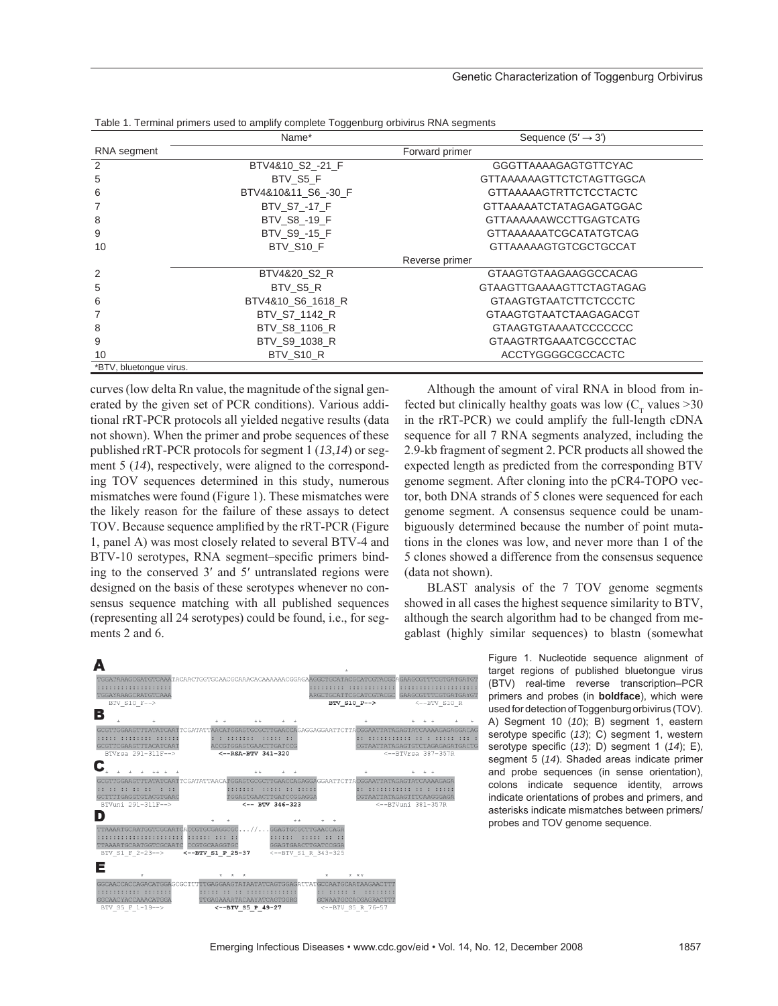### Genetic Characterization of Toggenburg Orbivirus

|                         | Name*               | Sequence $(5' \rightarrow 3')$ |  |  |  |
|-------------------------|---------------------|--------------------------------|--|--|--|
| RNA segment             | Forward primer      |                                |  |  |  |
| 2                       | BTV4&10 S2 -21 F    | <b>GGGTTAAAAGAGTGTTCYAC</b>    |  |  |  |
| 5                       | BTV S5 F            | GTTAAAAAAGTTCTCTAGTTGGCA       |  |  |  |
| 6                       | BTV4&10&11 S6 -30 F | <b>GTTAAAAAGTRTTCTCCTACTC</b>  |  |  |  |
|                         | BTV S7 -17 F        | <b>GTTAAAAATCTATAGAGATGGAC</b> |  |  |  |
| 8                       | BTV S8 -19 F        | <b>GTTAAAAAAWCCTTGAGTCATG</b>  |  |  |  |
| 9                       | BTV S9 -15 F        | <b>GTTAAAAAAATCGCATATGTCAG</b> |  |  |  |
| 10                      | BTV S10 F           | <b>GTTAAAAAGTGTCGCTGCCAT</b>   |  |  |  |
|                         | Reverse primer      |                                |  |  |  |
| 2                       | BTV4&20 S2 R        | <b>GTAAGTGTAAGAAGGCCACAG</b>   |  |  |  |
| 5                       | BTV S5 R            | GTAAGTTGAAAAGTTCTAGTAGAG       |  |  |  |
| 6                       | BTV4&10 S6 1618 R   | <b>GTAAGTGTAATCTTCTCCCTC</b>   |  |  |  |
|                         | BTV S7 1142 R       | <b>GTAAGTGTAATCTAAGAGACGT</b>  |  |  |  |
| 8                       | BTV S8 1106 R       | GTAAGTGTAAAATCCCCCCC           |  |  |  |
| 9                       | BTV S9 1038 R       | <b>GTAAGTRTGAAATCGCCCTAC</b>   |  |  |  |
| 10                      | BTV S10 R           | ACCTYGGGGCGCCACTC              |  |  |  |
| *BTV, bluetongue virus. |                     |                                |  |  |  |

Table 1. Terminal primers used to amplify complete Toggenburg orbivirus RNA segments

curves (low delta Rn value, the magnitude of the signal generated by the given set of PCR conditions). Various additional rRT-PCR protocols all yielded negative results (data not shown). When the primer and probe sequences of these published rRT-PCR protocols for segment 1 (*13*,*14*) or segment 5 (*14*), respectively, were aligned to the corresponding TOV sequences determined in this study, numerous mismatches were found (Figure 1). These mismatches were the likely reason for the failure of these assays to detect TOV. Because sequence amplified by the rRT-PCR (Figure 1, panel A) was most closely related to several BTV-4 and BTV-10 serotypes, RNA segment–specific primers binding to the conserved 3′ and 5′ untranslated regions were designed on the basis of these serotypes whenever no consensus sequence matching with all published sequences (representing all 24 serotypes) could be found, i.e., for segments 2 and 6.

Although the amount of viral RNA in blood from infected but clinically healthy goats was low  $(C<sub>r</sub>$  values >30 in the rRT-PCR) we could amplify the full-length cDNA sequence for all 7 RNA segments analyzed, including the 2.9-kb fragment of segment 2. PCR products all showed the expected length as predicted from the corresponding BTV genome segment. After cloning into the pCR4-TOPO vector, both DNA strands of 5 clones were sequenced for each genome segment. A consensus sequence could be unambiguously determined because the number of point mutations in the clones was low, and never more than 1 of the 5 clones showed a difference from the consensus sequence (data not shown).

BLAST analysis of the 7 TOV genome segments showed in all cases the highest sequence similarity to BTV, although the search algorithm had to be changed from megablast (highly similar sequences) to blastn (somewhat

> Figure 1. Nucleotide sequence alignment of target regions of published bluetongue virus (BTV) real-time reverse transcription–PCR primers and probes (in **boldface**), which were used for detection of Toggenburg orbivirus (TOV). A) Segment 10 (*10*); B) segment 1, eastern serotype specific (13); C) segment 1, western serotype specific (13); D) segment 1 (14); E), segment 5 (*14*). Shaded areas indicate primer and probe sequences (in sense orientation), colons indicate sequence identity, arrows indicate orientations of probes and primers, and asterisks indicate mismatches between primers/ probes and TOV genome sequence.

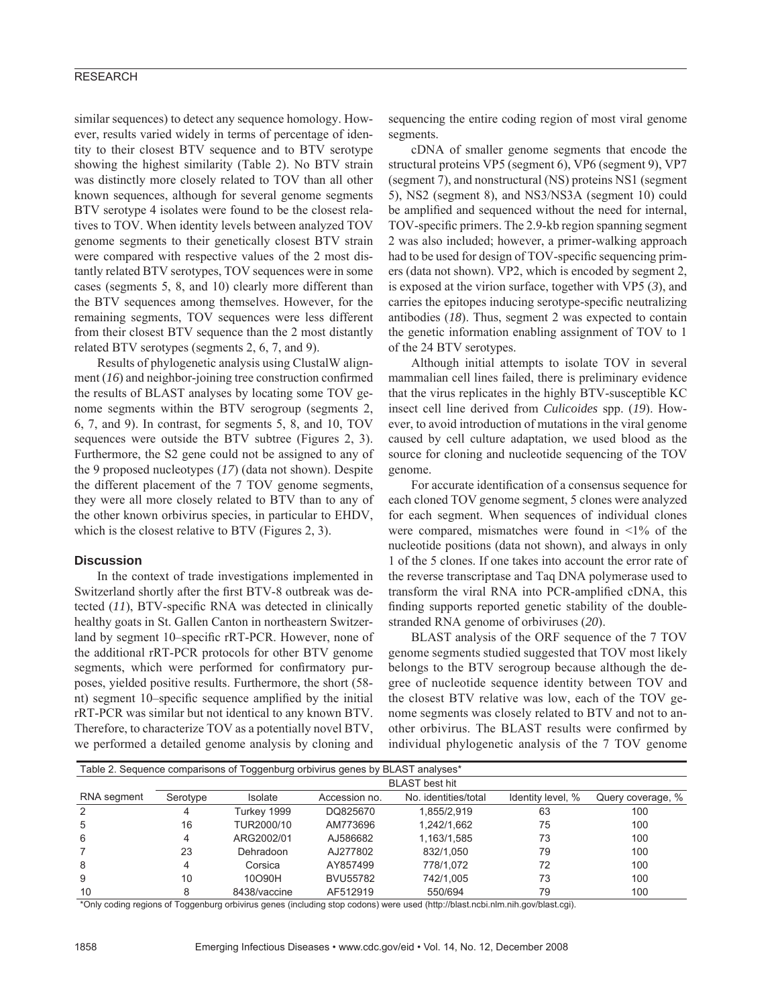# RESEARCH

similar sequences) to detect any sequence homology. However, results varied widely in terms of percentage of identity to their closest BTV sequence and to BTV serotype showing the highest similarity (Table 2). No BTV strain was distinctly more closely related to TOV than all other known sequences, although for several genome segments BTV serotype 4 isolates were found to be the closest relatives to TOV. When identity levels between analyzed TOV genome segments to their genetically closest BTV strain were compared with respective values of the 2 most distantly related BTV serotypes, TOV sequences were in some cases (segments 5, 8, and 10) clearly more different than the BTV sequences among themselves. However, for the remaining segments, TOV sequences were less different from their closest BTV sequence than the 2 most distantly related BTV serotypes (segments 2, 6, 7, and 9).

Results of phylogenetic analysis using ClustalW alignment  $(16)$  and neighbor-joining tree construction confirmed the results of BLAST analyses by locating some TOV genome segments within the BTV serogroup (segments 2, 6, 7, and 9). In contrast, for segments 5, 8, and 10, TOV sequences were outside the BTV subtree (Figures 2, 3). Furthermore, the S2 gene could not be assigned to any of the 9 proposed nucleotypes (*17*) (data not shown). Despite the different placement of the 7 TOV genome segments, they were all more closely related to BTV than to any of the other known orbivirus species, in particular to EHDV, which is the closest relative to BTV (Figures 2, 3).

#### **Discussion**

In the context of trade investigations implemented in Switzerland shortly after the first BTV-8 outbreak was detected  $(11)$ , BTV-specific RNA was detected in clinically healthy goats in St. Gallen Canton in northeastern Switzerland by segment 10–specific rRT-PCR. However, none of the additional rRT-PCR protocols for other BTV genome segments, which were performed for confirmatory purposes, yielded positive results. Furthermore, the short (58 nt) segment 10–specific sequence amplified by the initial rRT-PCR was similar but not identical to any known BTV. Therefore, to characterize TOV as a potentially novel BTV, we performed a detailed genome analysis by cloning and

sequencing the entire coding region of most viral genome segments.

cDNA of smaller genome segments that encode the structural proteins VP5 (segment 6), VP6 (segment 9), VP7 (segment 7), and nonstructural (NS) proteins NS1 (segment 5), NS2 (segment 8), and NS3/NS3A (segment 10) could be amplified and sequenced without the need for internal, TOV-specific primers. The 2.9-kb region spanning segment 2 was also included; however, a primer-walking approach had to be used for design of TOV-specific sequencing primers (data not shown). VP2, which is encoded by segment 2, is exposed at the virion surface, together with VP5 (*3*), and carries the epitopes inducing serotype-specific neutralizing antibodies (*18*). Thus, segment 2 was expected to contain the genetic information enabling assignment of TOV to 1 of the 24 BTV serotypes.

Although initial attempts to isolate TOV in several mammalian cell lines failed, there is preliminary evidence that the virus replicates in the highly BTV-susceptible KC insect cell line derived from *Culicoides* spp. (*19*). However, to avoid introduction of mutations in the viral genome caused by cell culture adaptation, we used blood as the source for cloning and nucleotide sequencing of the TOV genome.

For accurate identification of a consensus sequence for each cloned TOV genome segment, 5 clones were analyzed for each segment. When sequences of individual clones were compared, mismatches were found in  $\leq 1\%$  of the nucleotide positions (data not shown), and always in only 1 of the 5 clones. If one takes into account the error rate of the reverse transcriptase and Taq DNA polymerase used to transform the viral RNA into PCR-amplified cDNA, this finding supports reported genetic stability of the doublestranded RNA genome of orbiviruses (*20*).

BLAST analysis of the ORF sequence of the 7 TOV genome segments studied suggested that TOV most likely belongs to the BTV serogroup because although the degree of nucleotide sequence identity between TOV and the closest BTV relative was low, each of the TOV genome segments was closely related to BTV and not to another orbivirus. The BLAST results were confirmed by individual phylogenetic analysis of the 7 TOV genome

| Table 2. Sequence comparisons of Toggenburg orbivirus genes by BLAST analyses* |                       |                |                 |                      |                   |                   |  |  |
|--------------------------------------------------------------------------------|-----------------------|----------------|-----------------|----------------------|-------------------|-------------------|--|--|
|                                                                                | <b>BLAST</b> best hit |                |                 |                      |                   |                   |  |  |
| RNA segment                                                                    | Serotype              | <b>Isolate</b> | Accession no.   | No. identities/total | Identity level, % | Query coverage, % |  |  |
| $\mathcal{P}$                                                                  | 4                     | Turkey 1999    | DQ825670        | 1.855/2.919          | 63                | 100               |  |  |
| 5                                                                              | 16                    | TUR2000/10     | AM773696        | 1,242/1,662          | 75                | 100               |  |  |
| 6                                                                              | 4                     | ARG2002/01     | AJ586682        | 1,163/1,585          | 73                | 100               |  |  |
|                                                                                | 23                    | Dehradoon      | AJ277802        | 832/1.050            | 79                | 100               |  |  |
| 8                                                                              | 4                     | Corsica        | AY857499        | 778/1.072            | 72                | 100               |  |  |
| 9                                                                              | 10                    | 10O90H         | <b>BVU55782</b> | 742/1.005            | 73                | 100               |  |  |
| 10                                                                             | 8                     | 8438/vaccine   | AF512919        | 550/694              | 79                | 100               |  |  |

\*Only coding regions of Toggenburg orbivirus genes (including stop codons) were used (http://blast.ncbi.nlm.nih.gov/blast.cgi).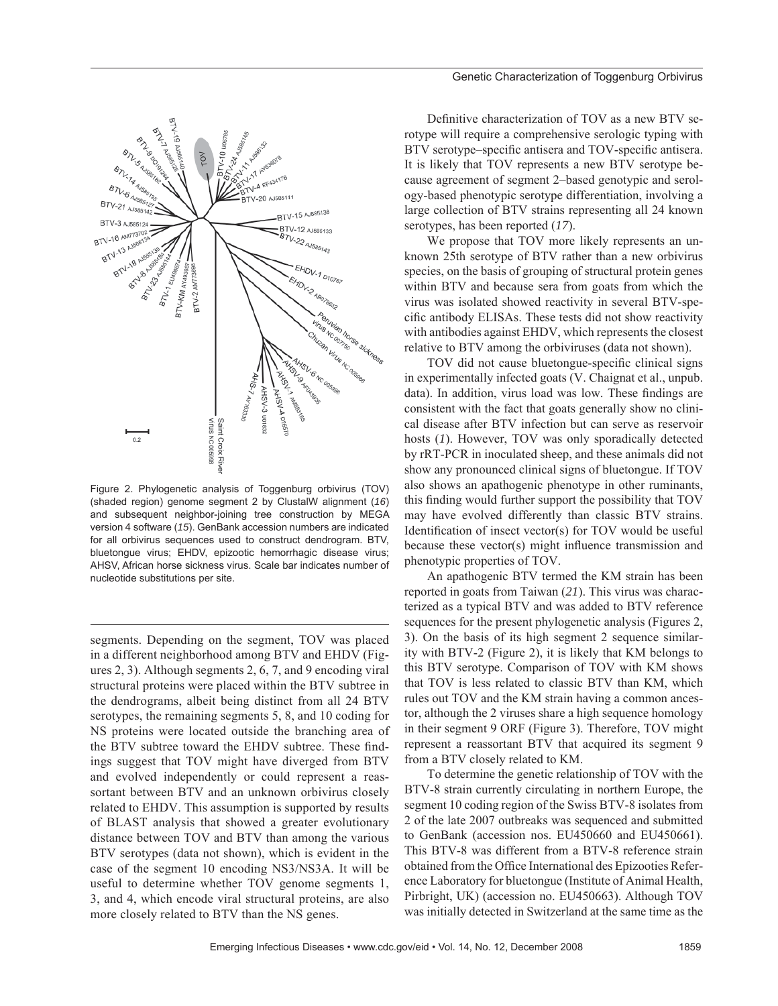

Figure 2. Phylogenetic analysis of Toggenburg orbivirus (TOV) (shaded region) genome segment 2 by ClustalW alignment (*16*) and subsequent neighbor-joining tree construction by MEGA version 4 software (*15*). GenBank accession numbers are indicated for all orbivirus sequences used to construct dendrogram. BTV, bluetongue virus; EHDV, epizootic hemorrhagic disease virus; AHSV, African horse sickness virus. Scale bar indicates number of nucleotide substitutions per site.

segments. Depending on the segment, TOV was placed in a different neighborhood among BTV and EHDV (Figures 2, 3). Although segments 2, 6, 7, and 9 encoding viral structural proteins were placed within the BTV subtree in the dendrograms, albeit being distinct from all 24 BTV serotypes, the remaining segments 5, 8, and 10 coding for NS proteins were located outside the branching area of the BTV subtree toward the EHDV subtree. These findings suggest that TOV might have diverged from BTV and evolved independently or could represent a reassortant between BTV and an unknown orbivirus closely related to EHDV. This assumption is supported by results of BLAST analysis that showed a greater evolutionary distance between TOV and BTV than among the various BTV serotypes (data not shown), which is evident in the case of the segment 10 encoding NS3/NS3A. It will be useful to determine whether TOV genome segments 1, 3, and 4, which encode viral structural proteins, are also more closely related to BTV than the NS genes.

Definitive characterization of TOV as a new BTV serotype will require a comprehensive serologic typing with BTV serotype–specific antisera and TOV-specific antisera. It is likely that TOV represents a new BTV serotype because agreement of segment 2–based genotypic and serology-based phenotypic serotype differentiation, involving a large collection of BTV strains representing all 24 known serotypes, has been reported (*17*).

We propose that TOV more likely represents an unknown 25th serotype of BTV rather than a new orbivirus species, on the basis of grouping of structural protein genes within BTV and because sera from goats from which the virus was isolated showed reactivity in several BTV-specific antibody ELISAs. These tests did not show reactivity with antibodies against EHDV, which represents the closest relative to BTV among the orbiviruses (data not shown).

TOV did not cause bluetongue-specific clinical signs in experimentally infected goats (V. Chaignat et al., unpub. data). In addition, virus load was low. These findings are consistent with the fact that goats generally show no clinical disease after BTV infection but can serve as reservoir hosts (*1*). However, TOV was only sporadically detected by rRT-PCR in inoculated sheep, and these animals did not show any pronounced clinical signs of bluetongue. If TOV also shows an apathogenic phenotype in other ruminants, this finding would further support the possibility that TOV may have evolved differently than classic BTV strains. Identification of insect vector(s) for TOV would be useful because these vector(s) might influence transmission and phenotypic properties of TOV.

An apathogenic BTV termed the KM strain has been reported in goats from Taiwan (*21*). This virus was characterized as a typical BTV and was added to BTV reference sequences for the present phylogenetic analysis (Figures 2, 3). On the basis of its high segment 2 sequence similarity with BTV-2 (Figure 2), it is likely that KM belongs to this BTV serotype. Comparison of TOV with KM shows that TOV is less related to classic BTV than KM, which rules out TOV and the KM strain having a common ancestor, although the 2 viruses share a high sequence homology in their segment 9 ORF (Figure 3). Therefore, TOV might represent a reassortant BTV that acquired its segment 9 from a BTV closely related to KM.

To determine the genetic relationship of TOV with the BTV-8 strain currently circulating in northern Europe, the segment 10 coding region of the Swiss BTV-8 isolates from 2 of the late 2007 outbreaks was sequenced and submitted to GenBank (accession nos. EU450660 and EU450661). This BTV-8 was different from a BTV-8 reference strain obtained from the Office International des Epizooties Reference Laboratory for bluetongue (Institute of Animal Health, Pirbright, UK) (accession no. EU450663). Although TOV was initially detected in Switzerland at the same time as the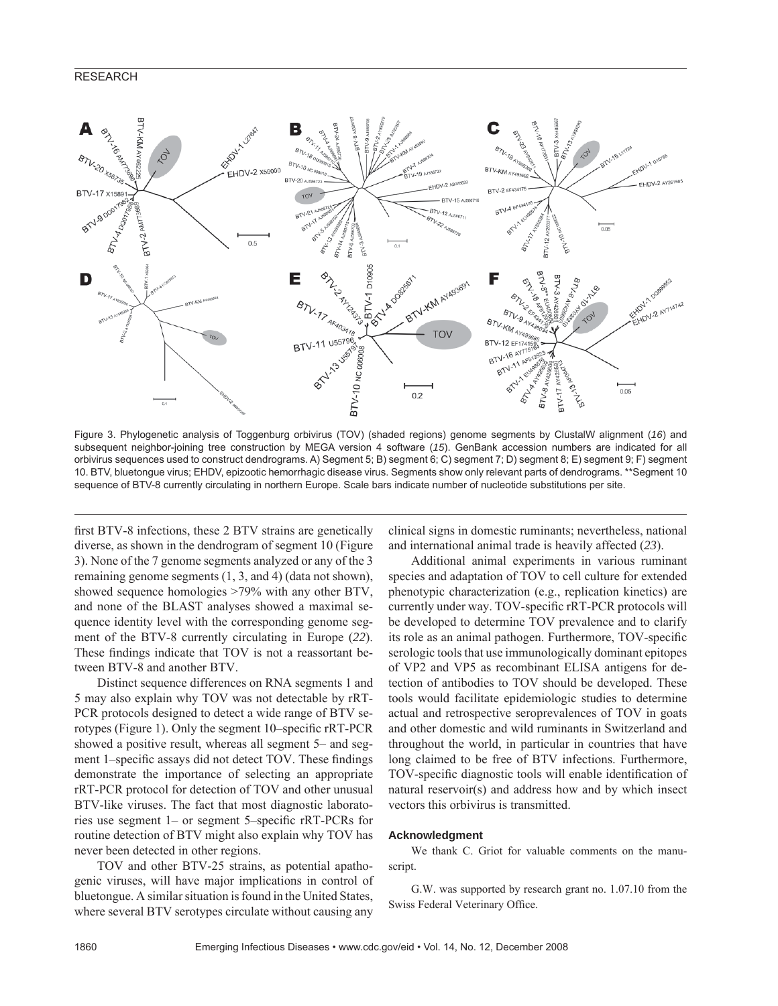# RESEARCH



Figure 3. Phylogenetic analysis of Toggenburg orbivirus (TOV) (shaded regions) genome segments by ClustalW alignment (*16*) and subsequent neighbor-joining tree construction by MEGA version 4 software (*15*). GenBank accession numbers are indicated for all orbivirus sequences used to construct dendrograms. A) Segment 5; B) segment 6; C) segment 7; D) segment 8; E) segment 9; F) segment 10. BTV, bluetongue virus; EHDV, epizootic hemorrhagic disease virus. Segments show only relevant parts of dendrograms. \*\*Segment 10 sequence of BTV-8 currently circulating in northern Europe. Scale bars indicate number of nucleotide substitutions per site.

first BTV-8 infections, these 2 BTV strains are genetically diverse, as shown in the dendrogram of segment 10 (Figure 3). None of the 7 genome segments analyzed or any of the 3 remaining genome segments (1, 3, and 4) (data not shown), showed sequence homologies >79% with any other BTV, and none of the BLAST analyses showed a maximal sequence identity level with the corresponding genome segment of the BTV-8 currently circulating in Europe (*22*). These findings indicate that TOV is not a reassortant between BTV-8 and another BTV.

Distinct sequence differences on RNA segments 1 and 5 may also explain why TOV was not detectable by rRT-PCR protocols designed to detect a wide range of BTV serotypes (Figure 1). Only the segment 10–specific rRT-PCR showed a positive result, whereas all segment 5– and segment 1–specific assays did not detect TOV. These findings demonstrate the importance of selecting an appropriate rRT-PCR protocol for detection of TOV and other unusual BTV-like viruses. The fact that most diagnostic laboratories use segment 1– or segment 5–specific rRT-PCRs for routine detection of BTV might also explain why TOV has never been detected in other regions.

TOV and other BTV-25 strains, as potential apathogenic viruses, will have major implications in control of bluetongue. A similar situation is found in the United States, where several BTV serotypes circulate without causing any

clinical signs in domestic ruminants; nevertheless, national and international animal trade is heavily affected (*23*).

Additional animal experiments in various ruminant species and adaptation of TOV to cell culture for extended phenotypic characterization (e.g., replication kinetics) are currently under way. TOV-specific rRT-PCR protocols will be developed to determine TOV prevalence and to clarify its role as an animal pathogen. Furthermore, TOV-specific serologic tools that use immunologically dominant epitopes of VP2 and VP5 as recombinant ELISA antigens for detection of antibodies to TOV should be developed. These tools would facilitate epidemiologic studies to determine actual and retrospective seroprevalences of TOV in goats and other domestic and wild ruminants in Switzerland and throughout the world, in particular in countries that have long claimed to be free of BTV infections. Furthermore, TOV-specific diagnostic tools will enable identification of natural reservoir(s) and address how and by which insect vectors this orbivirus is transmitted.

#### **Acknowledgment**

We thank C. Griot for valuable comments on the manuscript.

G.W. was supported by research grant no. 1.07.10 from the Swiss Federal Veterinary Office.